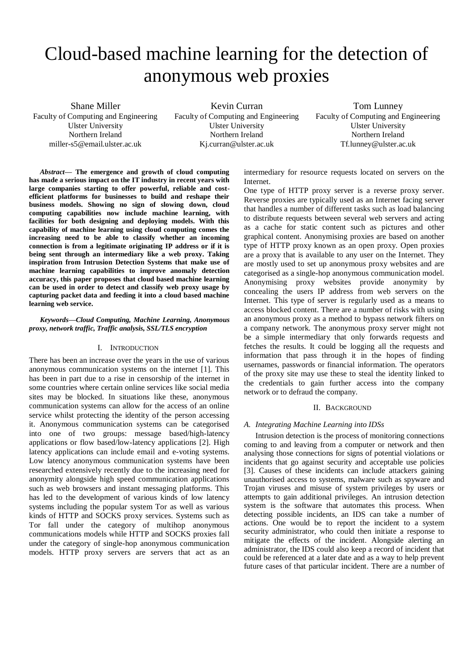# Cloud-based machine learning for the detection of anonymous web proxies

Shane Miller Faculty of Computing and Engineering Ulster University Northern Ireland miller-s5@email.ulster.ac.uk

Kevin Curran Faculty of Computing and Engineering Ulster University Northern Ireland Kj.curran@ulster.ac.uk

Tom Lunney Faculty of Computing and Engineering Ulster University Northern Ireland Tf.lunney@ulster.ac.uk

*Abstract***— The emergence and growth of cloud computing has made a serious impact on the IT industry in recent years with large companies starting to offer powerful, reliable and costefficient platforms for businesses to build and reshape their business models. Showing no sign of slowing down, cloud computing capabilities now include machine learning, with facilities for both designing and deploying models. With this capability of machine learning using cloud computing comes the increasing need to be able to classify whether an incoming connection is from a legitimate originating IP address or if it is being sent through an intermediary like a web proxy. Taking inspiration from Intrusion Detection Systems that make use of machine learning capabilities to improve anomaly detection accuracy, this paper proposes that cloud based machine learning can be used in order to detect and classify web proxy usage by capturing packet data and feeding it into a cloud based machine learning web service.**

# *Keywords—Cloud Computing, Machine Learning, Anonymous proxy, network traffic, Traffic analysis, SSL/TLS encryption*

#### I. INTRODUCTION

There has been an increase over the years in the use of various anonymous communication systems on the internet [1]. This has been in part due to a rise in censorship of the internet in some countries where certain online services like social media sites may be blocked. In situations like these, anonymous communication systems can allow for the access of an online service whilst protecting the identity of the person accessing it. Anonymous communication systems can be categorised into one of two groups: message based/high-latency applications or flow based/low-latency applications [2]. High latency applications can include email and e-voting systems. Low latency anonymous communication systems have been researched extensively recently due to the increasing need for anonymity alongside high speed communication applications such as web browsers and instant messaging platforms. This has led to the development of various kinds of low latency systems including the popular system Tor as well as various kinds of HTTP and SOCKS proxy services. Systems such as Tor fall under the category of multihop anonymous communications models while HTTP and SOCKS proxies fall under the category of single-hop anonymous communication models. HTTP proxy servers are servers that act as an intermediary for resource requests located on servers on the Internet.

One type of HTTP proxy server is a reverse proxy server. Reverse proxies are typically used as an Internet facing server that handles a number of different tasks such as load balancing to distribute requests between several web servers and acting as a cache for static content such as pictures and other graphical content. Anonymising proxies are based on another type of HTTP proxy known as an open proxy. Open proxies are a proxy that is available to any user on the Internet. They are mostly used to set up anonymous proxy websites and are categorised as a single-hop anonymous communication model. Anonymising proxy websites provide anonymity by concealing the users IP address from web servers on the Internet. This type of server is regularly used as a means to access blocked content. There are a number of risks with using an anonymous proxy as a method to bypass network filters on a company network. The anonymous proxy server might not be a simple intermediary that only forwards requests and fetches the results. It could be logging all the requests and information that pass through it in the hopes of finding usernames, passwords or financial information. The operators of the proxy site may use these to steal the identity linked to the credentials to gain further access into the company network or to defraud the company.

#### II. BACKGROUND

#### *A. Integrating Machine Learning into IDSs*

Intrusion detection is the process of monitoring connections coming to and leaving from a computer or network and then analysing those connections for signs of potential violations or incidents that go against security and acceptable use policies [3]. Causes of these incidents can include attackers gaining unauthorised access to systems, malware such as spyware and Trojan viruses and misuse of system privileges by users or attempts to gain additional privileges. An intrusion detection system is the software that automates this process. When detecting possible incidents, an IDS can take a number of actions. One would be to report the incident to a system security administrator, who could then initiate a response to mitigate the effects of the incident. Alongside alerting an administrator, the IDS could also keep a record of incident that could be referenced at a later date and as a way to help prevent future cases of that particular incident. There are a number of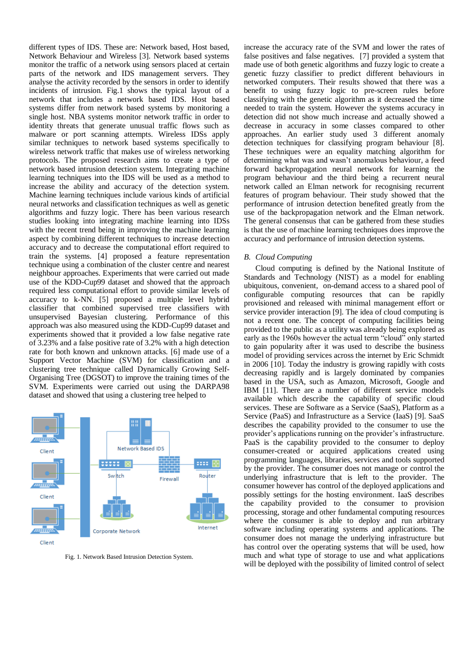different types of IDS. These are: Network based, Host based, Network Behaviour and Wireless [3]. Network based systems monitor the traffic of a network using sensors placed at certain parts of the network and IDS management servers. They analyse the activity recorded by the sensors in order to identify incidents of intrusion. Fig.1 shows the typical layout of a network that includes a network based IDS. Host based systems differ from network based systems by monitoring a single host. NBA systems monitor network traffic in order to identity threats that generate unusual traffic flows such as malware or port scanning attempts. Wireless IDSs apply similar techniques to network based systems specifically to wireless network traffic that makes use of wireless networking protocols. The proposed research aims to create a type of network based intrusion detection system. Integrating machine learning techniques into the IDS will be used as a method to increase the ability and accuracy of the detection system. Machine learning techniques include various kinds of artificial neural networks and classification techniques as well as genetic algorithms and fuzzy logic. There has been various research studies looking into integrating machine learning into IDSs with the recent trend being in improving the machine learning aspect by combining different techniques to increase detection accuracy and to decrease the computational effort required to train the systems. [4] proposed a feature representation technique using a combination of the cluster centre and nearest neighbour approaches. Experiments that were carried out made use of the KDD-Cup99 dataset and showed that the approach required less computational effort to provide similar levels of accuracy to k-NN. [5] proposed a multiple level hybrid classifier that combined supervised tree classifiers with unsupervised Bayesian clustering. Performance of this approach was also measured using the KDD-Cup99 dataset and experiments showed that it provided a low false negative rate of 3.23% and a false positive rate of 3.2% with a high detection rate for both known and unknown attacks. [6] made use of a Support Vector Machine (SVM) for classification and a clustering tree technique called Dynamically Growing Self-Organising Tree (DGSOT) to improve the training times of the SVM. Experiments were carried out using the DARPA98 dataset and showed that using a clustering tree helped to



Fig. 1. Network Based Intrusion Detection System.

increase the accuracy rate of the SVM and lower the rates of false positives and false negatives. [7] provided a system that made use of both genetic algorithms and fuzzy logic to create a genetic fuzzy classifier to predict different behaviours in networked computers. Their results showed that there was a benefit to using fuzzy logic to pre-screen rules before classifying with the genetic algorithm as it decreased the time needed to train the system. However the systems accuracy in detection did not show much increase and actually showed a decrease in accuracy in some classes compared to other approaches. An earlier study used 3 different anomaly detection techniques for classifying program behaviour [8]. These techniques were an equality matching algorithm for determining what was and wasn't anomalous behaviour, a feed forward backpropagation neural network for learning the program behaviour and the third being a recurrent neural network called an Elman network for recognising recurrent features of program behaviour. Their study showed that the performance of intrusion detection benefited greatly from the use of the backpropagation network and the Elman network. The general consensus that can be gathered from these studies is that the use of machine learning techniques does improve the accuracy and performance of intrusion detection systems.

#### *B. Cloud Computing*

Cloud computing is defined by the National Institute of Standards and Technology (NIST) as a model for enabling ubiquitous, convenient, on-demand access to a shared pool of configurable computing resources that can be rapidly provisioned and released with minimal management effort or service provider interaction [9]. The idea of cloud computing is not a recent one. The concept of computing facilities being provided to the public as a utility was already being explored as early as the 1960s however the actual term "cloud" only started to gain popularity after it was used to describe the business model of providing services across the internet by Eric Schmidt in 2006 [10]. Today the industry is growing rapidly with costs decreasing rapidly and is largely dominated by companies based in the USA, such as Amazon, Microsoft, Google and IBM [11]. There are a number of different service models available which describe the capability of specific cloud services. These are Software as a Service (SaaS), Platform as a Service (PaaS) and Infrastructure as a Service (IaaS) [9]. SaaS describes the capability provided to the consumer to use the provider's applications running on the provider's infrastructure. PaaS is the capability provided to the consumer to deploy consumer-created or acquired applications created using programming languages, libraries, services and tools supported by the provider. The consumer does not manage or control the underlying infrastructure that is left to the provider. The consumer however has control of the deployed applications and possibly settings for the hosting environment. IaaS describes the capability provided to the consumer to provision processing, storage and other fundamental computing resources where the consumer is able to deploy and run arbitrary software including operating systems and applications. The consumer does not manage the underlying infrastructure but has control over the operating systems that will be used, how much and what type of storage to use and what applications will be deployed with the possibility of limited control of select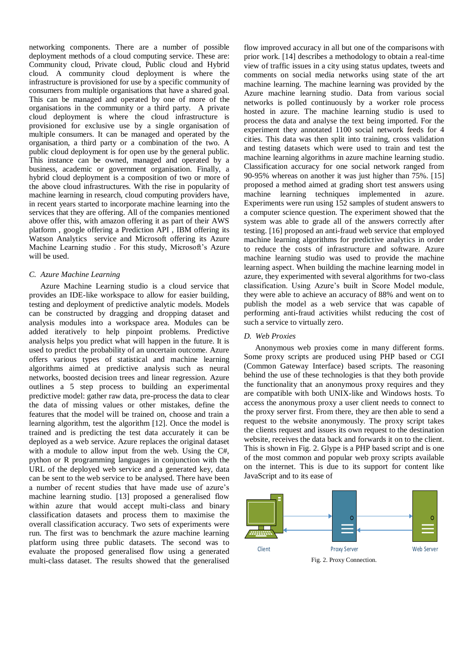networking components. There are a number of possible deployment methods of a cloud computing service. These are: Community cloud, Private cloud, Public cloud and Hybrid cloud. A community cloud deployment is where the infrastructure is provisioned for use by a specific community of consumers from multiple organisations that have a shared goal. This can be managed and operated by one of more of the organisations in the community or a third party. A private cloud deployment is where the cloud infrastructure is provisioned for exclusive use by a single organisation of multiple consumers. It can be managed and operated by the organisation, a third party or a combination of the two. A public cloud deployment is for open use by the general public. This instance can be owned, managed and operated by a business, academic or government organisation. Finally, a hybrid cloud deployment is a composition of two or more of the above cloud infrastructures. With the rise in popularity of machine learning in research, cloud computing providers have, in recent years started to incorporate machine learning into the services that they are offering. All of the companies mentioned above offer this, with amazon offering it as part of their AWS platform , google offering a Prediction API , IBM offering its Watson Analytics service and Microsoft offering its Azure Machine Learning studio . For this study, Microsoft's Azure will be used.

# *C. Azure Machine Learning*

Azure Machine Learning studio is a cloud service that provides an IDE-like workspace to allow for easier building, testing and deployment of predictive analytic models. Models can be constructed by dragging and dropping dataset and analysis modules into a workspace area. Modules can be added iteratively to help pinpoint problems. Predictive analysis helps you predict what will happen in the future. It is used to predict the probability of an uncertain outcome. Azure offers various types of statistical and machine learning algorithms aimed at predictive analysis such as neural networks, boosted decision trees and linear regression. Azure outlines a 5 step process to building an experimental predictive model: gather raw data, pre-process the data to clear the data of missing values or other mistakes, define the features that the model will be trained on, choose and train a learning algorithm, test the algorithm [12]. Once the model is trained and is predicting the test data accurately it can be deployed as a web service. Azure replaces the original dataset with a module to allow input from the web. Using the C#, python or R programming languages in conjunction with the URL of the deployed web service and a generated key, data can be sent to the web service to be analysed. There have been a number of recent studies that have made use of azure's machine learning studio. [13] proposed a generalised flow within azure that would accept multi-class and binary classification datasets and process them to maximise the overall classification accuracy. Two sets of experiments were run. The first was to benchmark the azure machine learning platform using three public datasets. The second was to evaluate the proposed generalised flow using a generated multi-class dataset. The results showed that the generalised

flow improved accuracy in all but one of the comparisons with prior work. [14] describes a methodology to obtain a real-time view of traffic issues in a city using status updates, tweets and comments on social media networks using state of the art machine learning. The machine learning was provided by the Azure machine learning studio. Data from various social networks is polled continuously by a worker role process hosted in azure. The machine learning studio is used to process the data and analyse the text being imported. For the experiment they annotated 1100 social network feeds for 4 cities. This data was then split into training, cross validation and testing datasets which were used to train and test the machine learning algorithms in azure machine learning studio. Classification accuracy for one social network ranged from 90-95% whereas on another it was just higher than 75%. [15] proposed a method aimed at grading short test answers using machine learning techniques implemented in azure. Experiments were run using 152 samples of student answers to a computer science question. The experiment showed that the system was able to grade all of the answers correctly after testing. [16] proposed an anti-fraud web service that employed machine learning algorithms for predictive analytics in order to reduce the costs of infrastructure and software. Azure machine learning studio was used to provide the machine learning aspect. When building the machine learning model in azure, they experimented with several algorithms for two-class classification. Using Azure's built in Score Model module, they were able to achieve an accuracy of 88% and went on to publish the model as a web service that was capable of performing anti-fraud activities whilst reducing the cost of such a service to virtually zero.

#### *D. Web Proxies*

Anonymous web proxies come in many different forms. Some proxy scripts are produced using PHP based or CGI (Common Gateway Interface) based scripts. The reasoning behind the use of these technologies is that they both provide the functionality that an anonymous proxy requires and they are compatible with both UNIX-like and Windows hosts. To access the anonymous proxy a user client needs to connect to the proxy server first. From there, they are then able to send a request to the website anonymously. The proxy script takes the clients request and issues its own request to the destination website, receives the data back and forwards it on to the client. This is shown in Fig. 2. Glype is a PHP based script and is one of the most common and popular web proxy scripts available on the internet. This is due to its support for content like JavaScript and to its ease of



Fig. 2. Proxy Connection.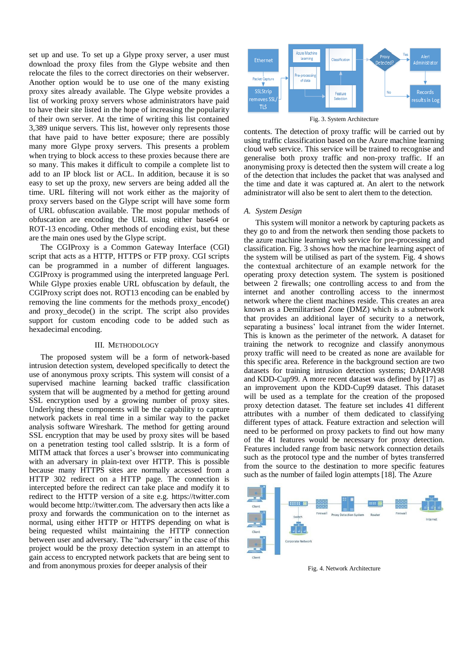set up and use. To set up a Glype proxy server, a user must download the proxy files from the Glype website and then relocate the files to the correct directories on their webserver. Another option would be to use one of the many existing proxy sites already available. The Glype website provides a list of working proxy servers whose administrators have paid to have their site listed in the hope of increasing the popularity of their own server. At the time of writing this list contained 3,389 unique servers. This list, however only represents those that have paid to have better exposure; there are possibly many more Glype proxy servers. This presents a problem when trying to block access to these proxies because there are so many. This makes it difficult to compile a complete list to add to an IP block list or ACL. In addition, because it is so easy to set up the proxy, new servers are being added all the time. URL filtering will not work either as the majority of proxy servers based on the Glype script will have some form of URL obfuscation available. The most popular methods of obfuscation are encoding the URL using either base64 or ROT-13 encoding. Other methods of encoding exist, but these are the main ones used by the Glype script.

The CGIProxy is a Common Gateway Interface (CGI) script that acts as a HTTP, HTTPS or FTP proxy. CGI scripts can be programmed in a number of different languages. CGIProxy is programmed using the interpreted language Perl. While Glype proxies enable URL obfuscation by default, the CGIProxy script does not. ROT13 encoding can be enabled by removing the line comments for the methods proxy\_encode() and proxy\_decode() in the script. The script also provides support for custom encoding code to be added such as hexadecimal encoding.

#### III. METHODOLOGY

The proposed system will be a form of network-based intrusion detection system, developed specifically to detect the use of anonymous proxy scripts. This system will consist of a supervised machine learning backed traffic classification system that will be augmented by a method for getting around SSL encryption used by a growing number of proxy sites. Underlying these components will be the capability to capture network packets in real time in a similar way to the packet analysis software Wireshark. The method for getting around SSL encryption that may be used by proxy sites will be based on a penetration testing tool called sslstrip. It is a form of MITM attack that forces a user's browser into communicating with an adversary in plain-text over HTTP. This is possible because many HTTPS sites are normally accessed from a HTTP 302 redirect on a HTTP page. The connection is intercepted before the redirect can take place and modify it to redirect to the HTTP version of a site e.g. https://twitter.com would become http://twitter.com. The adversary then acts like a proxy and forwards the communication on to the internet as normal, using either HTTP or HTTPS depending on what is being requested whilst maintaining the HTTP connection between user and adversary. The "adversary" in the case of this project would be the proxy detection system in an attempt to gain access to encrypted network packets that are being sent to and from anonymous proxies for deeper analysis of their



contents. The detection of proxy traffic will be carried out by using traffic classification based on the Azure machine learning cloud web service. This service will be trained to recognise and generalise both proxy traffic and non-proxy traffic. If an anonymising proxy is detected then the system will create a log of the detection that includes the packet that was analysed and the time and date it was captured at. An alert to the network administrator will also be sent to alert them to the detection.

#### *A. System Design*

This system will monitor a network by capturing packets as they go to and from the network then sending those packets to the azure machine learning web service for pre-processing and classification. Fig. 3 shows how the machine learning aspect of the system will be utilised as part of the system. Fig. 4 shows the contextual architecture of an example network for the operating proxy detection system. The system is positioned between 2 firewalls; one controlling access to and from the internet and another controlling access to the innermost network where the client machines reside. This creates an area known as a Demilitarised Zone (DMZ) which is a subnetwork that provides an additional layer of security to a network, separating a business' local intranet from the wider Internet. This is known as the perimeter of the network. A dataset for training the network to recognize and classify anonymous proxy traffic will need to be created as none are available for this specific area. Reference in the background section are two datasets for training intrusion detection systems; DARPA98 and KDD-Cup99. A more recent dataset was defined by [17] as an improvement upon the KDD-Cup99 dataset. This dataset will be used as a template for the creation of the proposed proxy detection dataset. The feature set includes 41 different attributes with a number of them dedicated to classifying different types of attack. Feature extraction and selection will need to be performed on proxy packets to find out how many of the 41 features would be necessary for proxy detection. Features included range from basic network connection details such as the protocol type and the number of bytes transferred from the source to the destination to more specific features such as the number of failed login attempts [18]. The Azure



Fig. 4. Network Architecture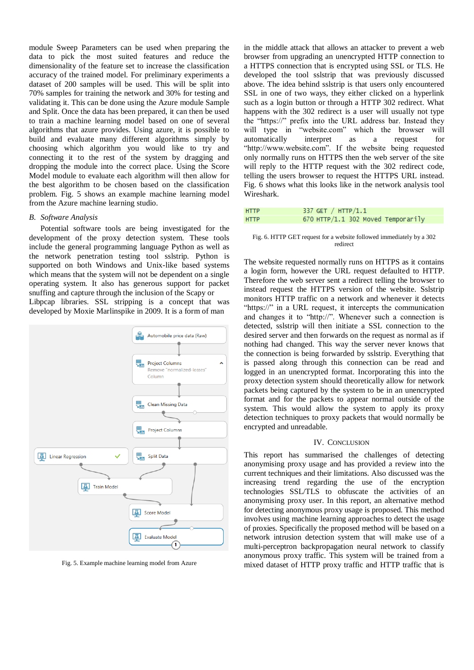module Sweep Parameters can be used when preparing the data to pick the most suited features and reduce the dimensionality of the feature set to increase the classification accuracy of the trained model. For preliminary experiments a dataset of 200 samples will be used. This will be split into 70% samples for training the network and 30% for testing and validating it. This can be done using the Azure module Sample and Split. Once the data has been prepared, it can then be used to train a machine learning model based on one of several algorithms that azure provides. Using azure, it is possible to build and evaluate many different algorithms simply by choosing which algorithm you would like to try and connecting it to the rest of the system by dragging and dropping the module into the correct place. Using the Score Model module to evaluate each algorithm will then allow for the best algorithm to be chosen based on the classification problem. Fig. 5 shows an example machine learning model from the Azure machine learning studio.

#### *B. Software Analysis*

Potential software tools are being investigated for the development of the proxy detection system. These tools include the general programming language Python as well as the network penetration testing tool sslstrip. Python is supported on both Windows and Unix-like based systems which means that the system will not be dependent on a single operating system. It also has generous support for packet snuffing and capture through the inclusion of the Scapy or

Libpcap libraries. SSL stripping is a concept that was developed by Moxie Marlinspike in 2009. It is a form of man



Fig. 5. Example machine learning model from Azure

in the middle attack that allows an attacker to prevent a web browser from upgrading an unencrypted HTTP connection to a HTTPS connection that is encrypted using SSL or TLS. He developed the tool sslstrip that was previously discussed above. The idea behind sslstrip is that users only encountered SSL in one of two ways, they either clicked on a hyperlink such as a login button or through a HTTP 302 redirect. What happens with the 302 redirect is a user will usually not type the "https://" prefix into the URL address bar. Instead they will type in "website.com" which the browser will automatically interpret as a request for "http://www.website.com". If the website being requested only normally runs on HTTPS then the web server of the site will reply to the HTTP request with the 302 redirect code, telling the users browser to request the HTTPS URL instead. Fig. 6 shows what this looks like in the network analysis tool Wireshark.

| <b>HTTP</b> | 337 GET / $HTTP/1.1$ |  |                                    |
|-------------|----------------------|--|------------------------------------|
| <b>HTTP</b> |                      |  | 670 HTTP/1.1 302 Moved Temporarily |

#### Fig. 6. HTTP GET request for a website followed immediately by a 302 redirect

The website requested normally runs on HTTPS as it contains a login form, however the URL request defaulted to HTTP. Therefore the web server sent a redirect telling the browser to instead request the HTTPS version of the website. Sslstrip monitors HTTP traffic on a network and whenever it detects "https://" in a URL request, it intercepts the communication and changes it to "http://". Whenever such a connection is detected, sslstrip will then initiate a SSL connection to the desired server and then forwards on the request as normal as if nothing had changed. This way the server never knows that the connection is being forwarded by sslstrip. Everything that is passed along through this connection can be read and logged in an unencrypted format. Incorporating this into the proxy detection system should theoretically allow for network packets being captured by the system to be in an unencrypted format and for the packets to appear normal outside of the system. This would allow the system to apply its proxy detection techniques to proxy packets that would normally be encrypted and unreadable.

# IV. CONCLUSION

This report has summarised the challenges of detecting anonymising proxy usage and has provided a review into the current techniques and their limitations. Also discussed was the increasing trend regarding the use of the encryption technologies SSL/TLS to obfuscate the activities of an anonymising proxy user. In this report, an alternative method for detecting anonymous proxy usage is proposed. This method involves using machine learning approaches to detect the usage of proxies. Specifically the proposed method will be based on a network intrusion detection system that will make use of a multi-perceptron backpropagation neural network to classify anonymous proxy traffic. This system will be trained from a mixed dataset of HTTP proxy traffic and HTTP traffic that is